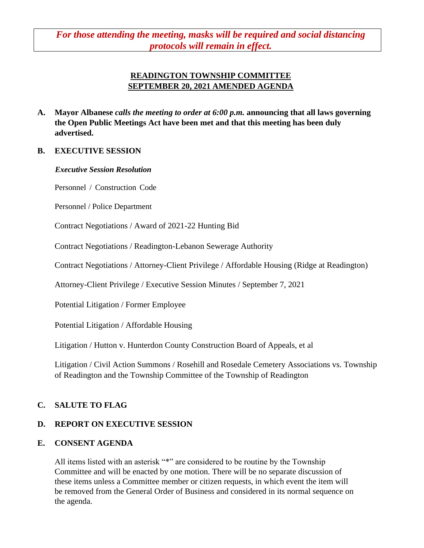*For those attending the meeting, masks will be required and social distancing protocols will remain in effect.*

# **READINGTON TOWNSHIP COMMITTEE SEPTEMBER 20, 2021 AMENDED AGENDA**

**A. Mayor Albanese** *calls the meeting to order at 6:00 p.m.* **announcing that all laws governing the Open Public Meetings Act have been met and that this meeting has been duly advertised.**

## **B. EXECUTIVE SESSION**

#### *Executive Session Resolution*

Personnel / Construction Code

Personnel / Police Department

Contract Negotiations / Award of 2021-22 Hunting Bid

Contract Negotiations / Readington-Lebanon Sewerage Authority

Contract Negotiations / Attorney-Client Privilege / Affordable Housing (Ridge at Readington)

Attorney-Client Privilege / Executive Session Minutes / September 7, 2021

Potential Litigation / Former Employee

Potential Litigation / Affordable Housing

Litigation / Hutton v. Hunterdon County Construction Board of Appeals, et al

Litigation / Civil Action Summons / Rosehill and Rosedale Cemetery Associations vs. Township of Readington and the Township Committee of the Township of Readington

# **C. SALUTE TO FLAG**

# **D. REPORT ON EXECUTIVE SESSION**

# **E. CONSENT AGENDA**

All items listed with an asterisk "\*" are considered to be routine by the Township Committee and will be enacted by one motion. There will be no separate discussion of these items unless a Committee member or citizen requests, in which event the item will be removed from the General Order of Business and considered in its normal sequence on the agenda.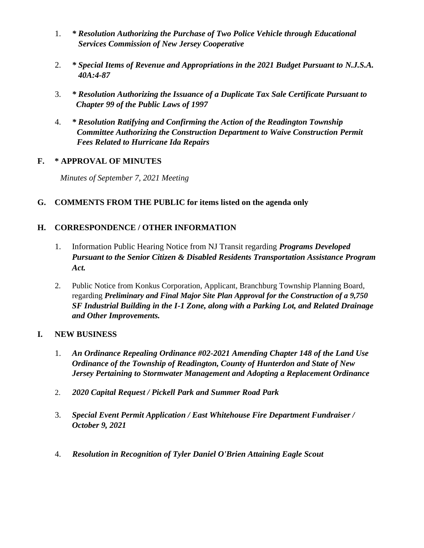- 1. *\* Resolution Authorizing the Purchase of Two Police Vehicle through Educational Services Commission of New Jersey Cooperative*
- 2. *\* Special Items of Revenue and Appropriations in the 2021 Budget Pursuant to N.J.S.A. 40A:4-87*
- 3. *\* Resolution Authorizing the Issuance of a Duplicate Tax Sale Certificate Pursuant to Chapter 99 of the Public Laws of 1997*
- 4. *\* Resolution Ratifying and Confirming the Action of the Readington Township Committee Authorizing the Construction Department to Waive Construction Permit Fees Related to Hurricane Ida Repairs*

# **F. \* APPROVAL OF MINUTES**

 *Minutes of September 7, 2021 Meeting* 

# **G. COMMENTS FROM THE PUBLIC for items listed on the agenda only**

# **H. CORRESPONDENCE / OTHER INFORMATION**

- 1. Information Public Hearing Notice from NJ Transit regarding *Programs Developed Pursuant to the Senior Citizen & Disabled Residents Transportation Assistance Program Act.*
- 2. Public Notice from Konkus Corporation, Applicant, Branchburg Township Planning Board, regarding *Preliminary and Final Major Site Plan Approval for the Construction of a 9,750 SF Industrial Building in the I-1 Zone, along with a Parking Lot, and Related Drainage and Other Improvements.*

# **I. NEW BUSINESS**

- 1. *An Ordinance Repealing Ordinance #02-2021 Amending Chapter 148 of the Land Use Ordinance of the Township of Readington, County of Hunterdon and State of New Jersey Pertaining to Stormwater Management and Adopting a Replacement Ordinance*
- 2. *2020 Capital Request / Pickell Park and Summer Road Park*
- 3. *Special Event Permit Application / East Whitehouse Fire Department Fundraiser / October 9, 2021*
- 4. *Resolution in Recognition of Tyler Daniel O'Brien Attaining Eagle Scout*